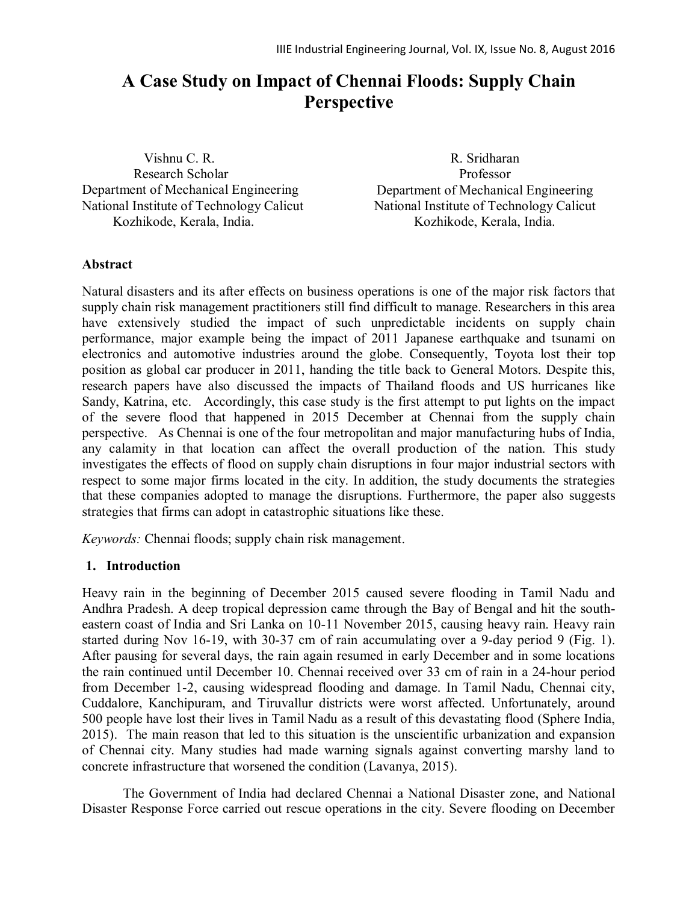# **A Case Study on Impact of Chennai Floods: Supply Chain Perspective**

 Vishnu C. R. Research Scholar Department of Mechanical Engineering National Institute of Technology Calicut Kozhikode, Kerala, India.

R. Sridharan Professor Department of Mechanical Engineering National Institute of Technology Calicut Kozhikode, Kerala, India.

#### **Abstract**

Natural disasters and its after effects on business operations is one of the major risk factors that supply chain risk management practitioners still find difficult to manage. Researchers in this area have extensively studied the impact of such unpredictable incidents on supply chain performance, major example being the impact of 2011 Japanese earthquake and tsunami on electronics and automotive industries around the globe. Consequently, Toyota lost their top position as global car producer in 2011, handing the title back to General Motors. Despite this, research papers have also discussed the impacts of Thailand floods and US hurricanes like Sandy, Katrina, etc. Accordingly, this case study is the first attempt to put lights on the impact of the severe flood that happened in 2015 December at Chennai from the supply chain perspective. As Chennai is one of the four metropolitan and major manufacturing hubs of India, any calamity in that location can affect the overall production of the nation. This study investigates the effects of flood on supply chain disruptions in four major industrial sectors with respect to some major firms located in the city. In addition, the study documents the strategies that these companies adopted to manage the disruptions. Furthermore, the paper also suggests strategies that firms can adopt in catastrophic situations like these.

*Keywords:* Chennai floods; supply chain risk management.

#### **1. Introduction**

Heavy rain in the beginning of December 2015 caused severe flooding in Tamil Nadu and Andhra Pradesh. A deep tropical depression came through the Bay of Bengal and hit the southeastern coast of India and Sri Lanka on 10-11 November 2015, causing heavy rain. Heavy rain started during Nov 16-19, with 30-37 cm of rain accumulating over a 9-day period 9 (Fig. 1). After pausing for several days, the rain again resumed in early December and in some locations the rain continued until December 10. Chennai received over 33 cm of rain in a 24-hour period from December 1-2, causing widespread flooding and damage. In Tamil Nadu, Chennai city, Cuddalore, Kanchipuram, and Tiruvallur districts were worst affected. Unfortunately, around 500 people have lost their lives in Tamil Nadu as a result of this devastating flood (Sphere India, 2015). The main reason that led to this situation is the unscientific urbanization and expansion of Chennai city. Many studies had made warning signals against converting marshy land to concrete infrastructure that worsened the condition (Lavanya, 2015).

The Government of India had declared Chennai a National Disaster zone, and National Disaster Response Force carried out rescue operations in the city. Severe flooding on December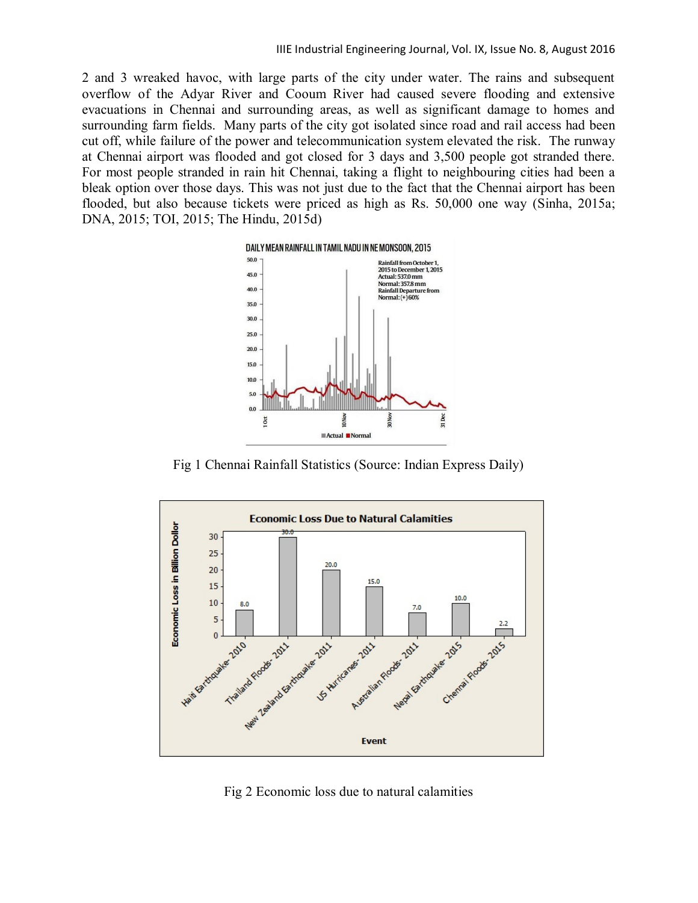2 and 3 wreaked havoc, with large parts of the city under water. The rains and subsequent overflow of the Adyar River and Cooum River had caused severe flooding and extensive evacuations in Chennai and surrounding areas, as well as significant damage to homes and surrounding farm fields. Many parts of the city got isolated since road and rail access had been cut off, while failure of the power and telecommunication system elevated the risk. The runway at Chennai airport was flooded and got closed for 3 days and 3,500 people got stranded there. For most people stranded in rain hit Chennai, taking a flight to neighbouring cities had been a bleak option over those days. This was not just due to the fact that the Chennai airport has been flooded, but also because tickets were priced as high as Rs. 50,000 one way (Sinha, 2015a; DNA, 2015; TOI, 2015; The Hindu, 2015d)



Fig 1 Chennai Rainfall Statistics (Source: Indian Express Daily)



Fig 2 Economic loss due to natural calamities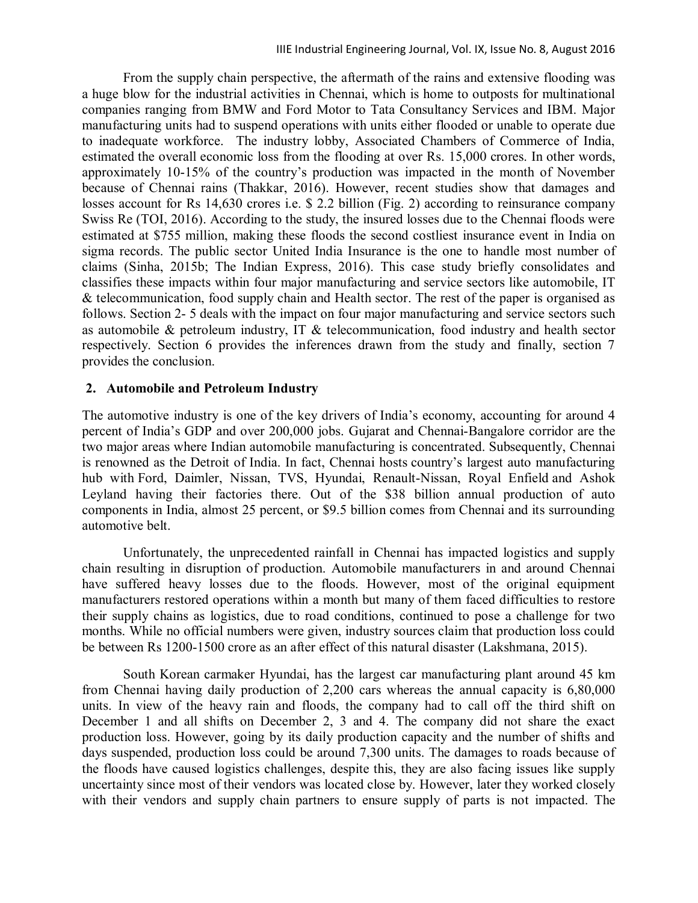From the supply chain perspective, the aftermath of the rains and extensive flooding was a huge blow for the industrial activities in Chennai, which is home to outposts for multinational companies ranging from BMW and Ford Motor to Tata Consultancy Services and IBM. Major manufacturing units had to suspend operations with units either flooded or unable to operate due to inadequate workforce. The industry lobby, Associated Chambers of Commerce of India, estimated the overall economic loss from the flooding at over Rs. 15,000 crores. In other words, approximately 10-15% of the country's production was impacted in the month of November because of Chennai rains (Thakkar, 2016). However, recent studies show that damages and losses account for Rs 14,630 crores i.e. \$ 2.2 billion (Fig. 2) according to reinsurance company Swiss Re (TOI, 2016). According to the study, the insured losses due to the Chennai floods were estimated at \$755 million, making these floods the second costliest insurance event in India on sigma records. The public sector United India Insurance is the one to handle most number of claims (Sinha, 2015b; The Indian Express, 2016). This case study briefly consolidates and classifies these impacts within four major manufacturing and service sectors like automobile, IT & telecommunication, food supply chain and Health sector. The rest of the paper is organised as follows. Section 2- 5 deals with the impact on four major manufacturing and service sectors such as automobile & petroleum industry, IT & telecommunication, food industry and health sector respectively. Section 6 provides the inferences drawn from the study and finally, section 7 provides the conclusion.

#### **2. Automobile and Petroleum Industry**

The automotive industry is one of the key drivers of India's economy, accounting for around 4 percent of India's GDP and over 200,000 jobs. Gujarat and Chennai-Bangalore corridor are the two major areas where Indian automobile manufacturing is concentrated. Subsequently, Chennai is renowned as the Detroit of India. In fact, Chennai hosts country's largest auto manufacturing hub with Ford, Daimler, Nissan, TVS, Hyundai, Renault-Nissan, Royal Enfield and Ashok Leyland having their factories there. Out of the \$38 billion annual production of auto components in India, almost 25 percent, or \$9.5 billion comes from Chennai and its surrounding automotive belt.

Unfortunately, the unprecedented rainfall in Chennai has impacted logistics and supply chain resulting in disruption of production. Automobile manufacturers in and around Chennai have suffered heavy losses due to the floods. However, most of the original equipment manufacturers restored operations within a month but many of them faced difficulties to restore their supply chains as logistics, due to road conditions, continued to pose a challenge for two months. While no official numbers were given, industry sources claim that production loss could be between Rs 1200-1500 crore as an after effect of this natural disaster (Lakshmana, 2015).

South Korean carmaker Hyundai, has the largest car manufacturing plant around 45 km from Chennai having daily production of 2,200 cars whereas the annual capacity is 6,80,000 units. In view of the heavy rain and floods, the company had to call off the third shift on December 1 and all shifts on December 2, 3 and 4. The company did not share the exact production loss. However, going by its daily production capacity and the number of shifts and days suspended, production loss could be around 7,300 units. The damages to roads because of the floods have caused logistics challenges, despite this, they are also facing issues like supply uncertainty since most of their vendors was located close by. However, later they worked closely with their vendors and supply chain partners to ensure supply of parts is not impacted. The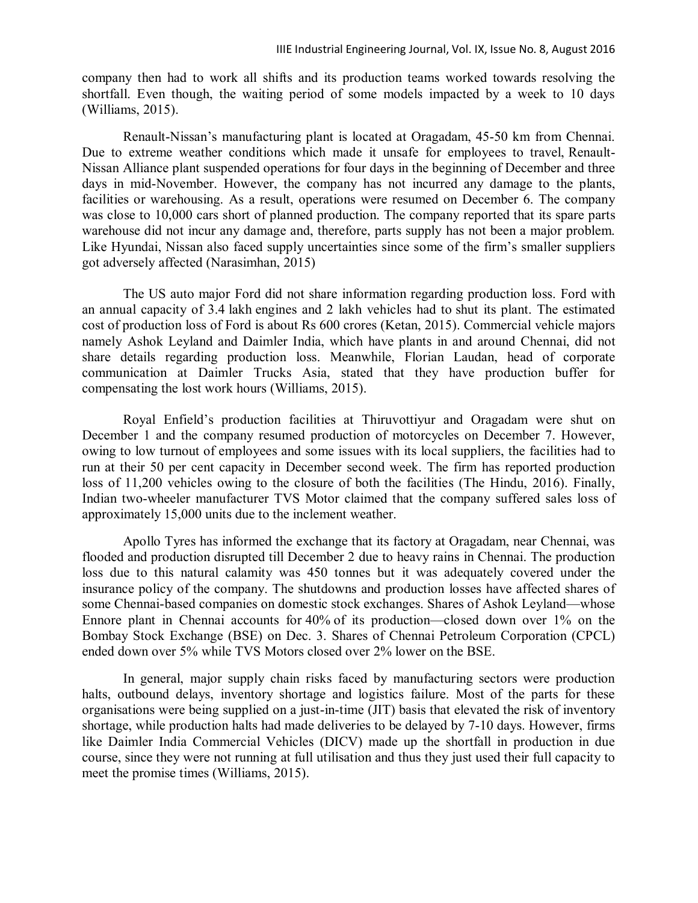company then had to work all shifts and its production teams worked towards resolving the shortfall. Even though, the waiting period of some models impacted by a week to 10 days (Williams, 2015).

Renault-Nissan's manufacturing plant is located at Oragadam, 45-50 km from Chennai. Due to extreme weather conditions which made it unsafe for employees to travel, Renault-Nissan Alliance plant suspended operations for four days in the beginning of December and three days in mid-November. However, the company has not incurred any damage to the plants, facilities or warehousing. As a result, operations were resumed on December 6. The company was close to 10,000 cars short of planned production. The company reported that its spare parts warehouse did not incur any damage and, therefore, parts supply has not been a major problem. Like Hyundai, Nissan also faced supply uncertainties since some of the firm's smaller suppliers got adversely affected (Narasimhan, 2015)

The US auto major Ford did not share information regarding production loss. Ford with an annual capacity of 3.4 lakh engines and 2 lakh vehicles had to shut its plant. The estimated cost of production loss of Ford is about Rs 600 crores (Ketan, 2015). Commercial vehicle majors namely Ashok Leyland and Daimler India, which have plants in and around Chennai, did not share details regarding production loss. Meanwhile, Florian Laudan, head of corporate communication at Daimler Trucks Asia, stated that they have production buffer for compensating the lost work hours (Williams, 2015).

Royal Enfield's production facilities at Thiruvottiyur and Oragadam were shut on December 1 and the company resumed production of motorcycles on December 7. However, owing to low turnout of employees and some issues with its local suppliers, the facilities had to run at their 50 per cent capacity in December second week. The firm has reported production loss of 11,200 vehicles owing to the closure of both the facilities (The Hindu, 2016). Finally, Indian two-wheeler manufacturer TVS Motor claimed that the company suffered sales loss of approximately 15,000 units due to the inclement weather.

Apollo Tyres has informed the exchange that its factory at Oragadam, near Chennai, was flooded and production disrupted till December 2 due to heavy rains in Chennai. The production loss due to this natural calamity was 450 tonnes but it was adequately covered under the insurance policy of the company. The shutdowns and production losses have affected shares of some Chennai-based companies on domestic stock exchanges. Shares of Ashok Leyland—whose Ennore plant in Chennai accounts for 40% of its production—closed down over 1% on the Bombay Stock Exchange (BSE) on Dec. 3. Shares of Chennai Petroleum Corporation (CPCL) ended down over 5% while TVS Motors closed over 2% lower on the BSE.

In general, major supply chain risks faced by manufacturing sectors were production halts, outbound delays, inventory shortage and logistics failure. Most of the parts for these organisations were being supplied on a just-in-time (JIT) basis that elevated the risk of inventory shortage, while production halts had made deliveries to be delayed by 7-10 days. However, firms like Daimler India Commercial Vehicles (DICV) made up the shortfall in production in due course, since they were not running at full utilisation and thus they just used their full capacity to meet the promise times (Williams, 2015).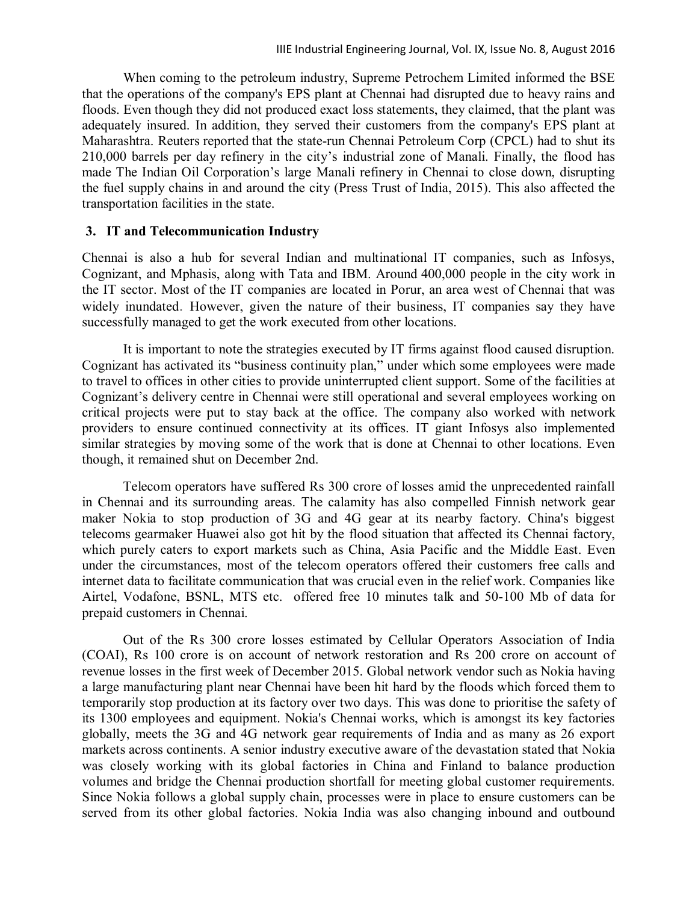When coming to the petroleum industry, Supreme Petrochem Limited informed the BSE that the operations of the company's EPS plant at Chennai had disrupted due to heavy rains and floods. Even though they did not produced exact loss statements, they claimed, that the plant was adequately insured. In addition, they served their customers from the company's EPS plant at Maharashtra. Reuters reported that the state-run Chennai Petroleum Corp (CPCL) had to shut its 210,000 barrels per day refinery in the city's industrial zone of Manali. Finally, the flood has made The Indian Oil Corporation's large Manali refinery in Chennai to close down, disrupting the fuel supply chains in and around the city (Press Trust of India, 2015). This also affected the transportation facilities in the state.

#### **3. IT and Telecommunication Industry**

Chennai is also a hub for several Indian and multinational IT companies, such as Infosys, Cognizant, and Mphasis, along with Tata and IBM. Around 400,000 people in the city work in the IT sector. Most of the IT companies are located in Porur, an area west of Chennai that was widely inundated. However, given the nature of their business, IT companies say they have successfully managed to get the work executed from other locations.

It is important to note the strategies executed by IT firms against flood caused disruption. Cognizant has activated its "business continuity plan," under which some employees were made to travel to offices in other cities to provide uninterrupted client support. Some of the facilities at Cognizant's delivery centre in Chennai were still operational and several employees working on critical projects were put to stay back at the office. The company also worked with network providers to ensure continued connectivity at its offices. IT giant Infosys also implemented similar strategies by moving some of the work that is done at Chennai to other locations. Even though, it remained shut on December 2nd.

Telecom operators have suffered Rs 300 crore of losses amid the unprecedented rainfall in Chennai and its surrounding areas. The calamity has also compelled Finnish network gear maker Nokia to stop production of 3G and 4G gear at its nearby factory. China's biggest telecoms gearmaker Huawei also got hit by the flood situation that affected its Chennai factory, which purely caters to export markets such as China, Asia Pacific and the Middle East. Even under the circumstances, most of the telecom operators offered their customers free calls and internet data to facilitate communication that was crucial even in the relief work. Companies like Airtel, Vodafone, BSNL, MTS etc. offered free 10 minutes talk and 50-100 Mb of data for prepaid customers in Chennai.

Out of the Rs 300 crore losses estimated by Cellular Operators Association of India (COAI), Rs 100 crore is on account of network restoration and Rs 200 crore on account of revenue losses in the first week of December 2015. Global network vendor such as Nokia having a large manufacturing plant near Chennai have been hit hard by the floods which forced them to temporarily stop production at its factory over two days. This was done to prioritise the safety of its 1300 employees and equipment. Nokia's Chennai works, which is amongst its key factories globally, meets the 3G and 4G network gear requirements of India and as many as 26 export markets across continents. A senior industry executive aware of the devastation stated that Nokia was closely working with its global factories in China and Finland to balance production volumes and bridge the Chennai production shortfall for meeting global customer requirements. Since Nokia follows a global supply chain, processes were in place to ensure customers can be served from its other global factories. Nokia India was also changing inbound and outbound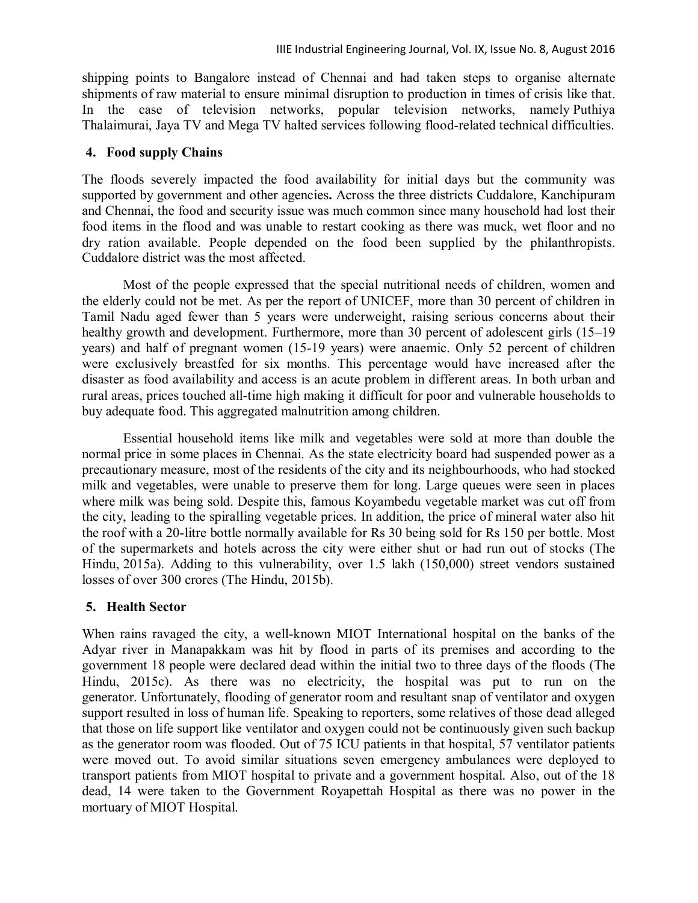shipping points to Bangalore instead of Chennai and had taken steps to organise alternate shipments of raw material to ensure minimal disruption to production in times of crisis like that. In the case of television networks, popular television networks, namely Puthiya Thalaimurai, Jaya TV and Mega TV halted services following flood-related technical difficulties.

## **4. Food supply Chains**

The floods severely impacted the food availability for initial days but the community was supported by government and other agencies**.** Across the three districts Cuddalore, Kanchipuram and Chennai, the food and security issue was much common since many household had lost their food items in the flood and was unable to restart cooking as there was muck, wet floor and no dry ration available. People depended on the food been supplied by the philanthropists. Cuddalore district was the most affected.

Most of the people expressed that the special nutritional needs of children, women and the elderly could not be met. As per the report of UNICEF, more than 30 percent of children in Tamil Nadu aged fewer than 5 years were underweight, raising serious concerns about their healthy growth and development. Furthermore, more than 30 percent of adolescent girls (15–19) years) and half of pregnant women (15-19 years) were anaemic. Only 52 percent of children were exclusively breastfed for six months. This percentage would have increased after the disaster as food availability and access is an acute problem in different areas. In both urban and rural areas, prices touched all-time high making it difficult for poor and vulnerable households to buy adequate food. This aggregated malnutrition among children.

Essential household items like milk and vegetables were sold at more than double the normal price in some places in Chennai. As the state electricity board had suspended power as a precautionary measure, most of the residents of the city and its neighbourhoods, who had stocked milk and vegetables, were unable to preserve them for long. Large queues were seen in places where milk was being sold. Despite this, famous Koyambedu vegetable market was cut off from the city, leading to the spiralling vegetable prices. In addition, the price of mineral water also hit the roof with a 20-litre bottle normally available for Rs 30 being sold for Rs 150 per bottle. Most of the supermarkets and hotels across the city were either shut or had run out of stocks (The Hindu, 2015a). Adding to this vulnerability, over 1.5 lakh (150,000) street vendors sustained losses of over 300 crores (The Hindu, 2015b).

## **5. Health Sector**

When rains ravaged the city, a well-known MIOT International hospital on the banks of the Adyar river in Manapakkam was hit by flood in parts of its premises and according to the government 18 people were declared dead within the initial two to three days of the floods (The Hindu, 2015c). As there was no electricity, the hospital was put to run on the generator. Unfortunately, flooding of generator room and resultant snap of ventilator and oxygen support resulted in loss of human life. Speaking to reporters, some relatives of those dead alleged that those on life support like ventilator and oxygen could not be continuously given such backup as the generator room was flooded. Out of 75 ICU patients in that hospital, 57 ventilator patients were moved out. To avoid similar situations seven emergency ambulances were deployed to transport patients from MIOT hospital to private and a government hospital. Also, out of the 18 dead, 14 were taken to the Government Royapettah Hospital as there was no power in the mortuary of MIOT Hospital.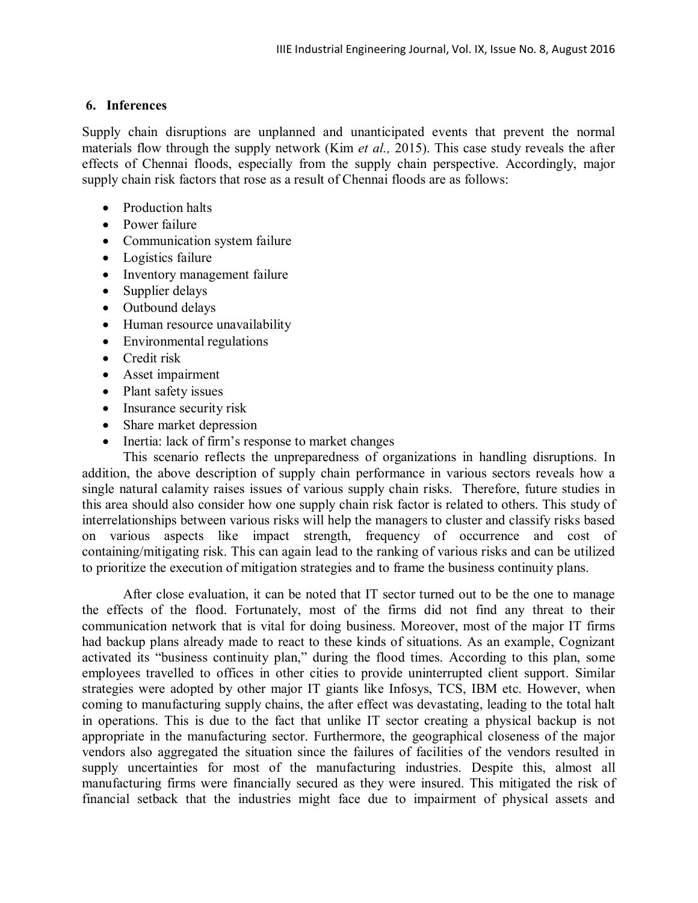### **6. Inferences**

Supply chain disruptions are unplanned and unanticipated events that prevent the normal materials flow through the supply network (Kim *et al.,* 2015). This case study reveals the after effects of Chennai floods, especially from the supply chain perspective. Accordingly, major supply chain risk factors that rose as a result of Chennai floods are as follows:

- Production halts
- Power failure
- Communication system failure
- Logistics failure
- Inventory management failure
- Supplier delays
- Outbound delays
- Human resource unavailability
- Environmental regulations
- Credit risk
- Asset impairment
- Plant safety issues
- Insurance security risk
- Share market depression
- Inertia: lack of firm's response to market changes

This scenario reflects the unpreparedness of organizations in handling disruptions. In addition, the above description of supply chain performance in various sectors reveals how a single natural calamity raises issues of various supply chain risks. Therefore, future studies in this area should also consider how one supply chain risk factor is related to others. This study of interrelationships between various risks will help the managers to cluster and classify risks based on various aspects like impact strength, frequency of occurrence and cost of containing/mitigating risk. This can again lead to the ranking of various risks and can be utilized to prioritize the execution of mitigation strategies and to frame the business continuity plans.

After close evaluation, it can be noted that IT sector turned out to be the one to manage the effects of the flood. Fortunately, most of the firms did not find any threat to their communication network that is vital for doing business. Moreover, most of the major IT firms had backup plans already made to react to these kinds of situations. As an example, Cognizant activated its "business continuity plan," during the flood times. According to this plan, some employees travelled to offices in other cities to provide uninterrupted client support. Similar strategies were adopted by other major IT giants like Infosys, TCS, IBM etc. However, when coming to manufacturing supply chains, the after effect was devastating, leading to the total halt in operations. This is due to the fact that unlike IT sector creating a physical backup is not appropriate in the manufacturing sector. Furthermore, the geographical closeness of the major vendors also aggregated the situation since the failures of facilities of the vendors resulted in supply uncertainties for most of the manufacturing industries. Despite this, almost all manufacturing firms were financially secured as they were insured. This mitigated the risk of financial setback that the industries might face due to impairment of physical assets and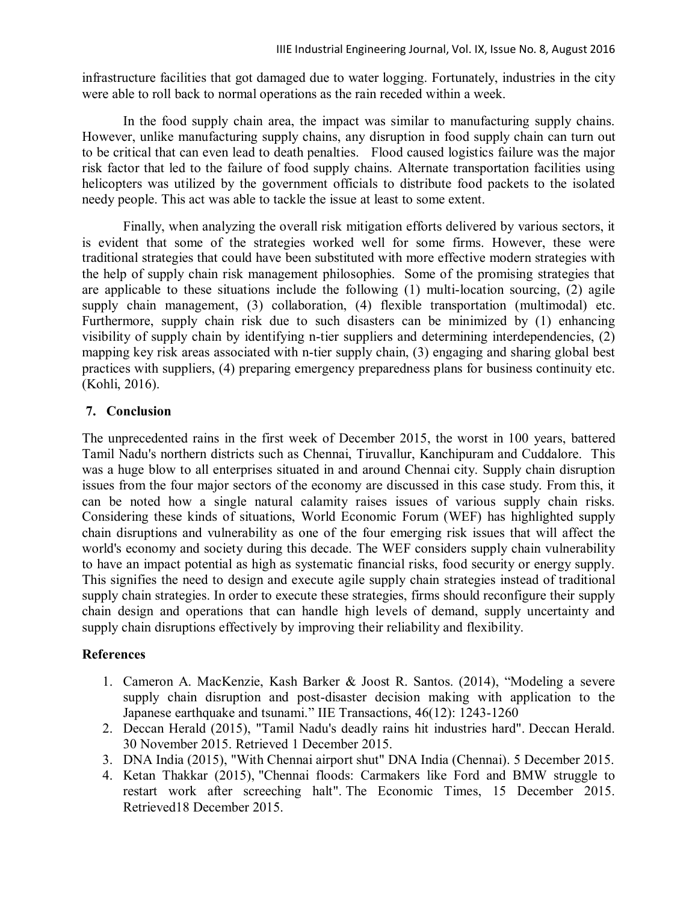infrastructure facilities that got damaged due to water logging. Fortunately, industries in the city were able to roll back to normal operations as the rain receded within a week.

In the food supply chain area, the impact was similar to manufacturing supply chains. However, unlike manufacturing supply chains, any disruption in food supply chain can turn out to be critical that can even lead to death penalties. Flood caused logistics failure was the major risk factor that led to the failure of food supply chains. Alternate transportation facilities using helicopters was utilized by the government officials to distribute food packets to the isolated needy people. This act was able to tackle the issue at least to some extent.

Finally, when analyzing the overall risk mitigation efforts delivered by various sectors, it is evident that some of the strategies worked well for some firms. However, these were traditional strategies that could have been substituted with more effective modern strategies with the help of supply chain risk management philosophies. Some of the promising strategies that are applicable to these situations include the following (1) multi-location sourcing, (2) agile supply chain management, (3) collaboration, (4) flexible transportation (multimodal) etc. Furthermore, supply chain risk due to such disasters can be minimized by (1) enhancing visibility of supply chain by identifying n-tier suppliers and determining interdependencies, (2) mapping key risk areas associated with n-tier supply chain, (3) engaging and sharing global best practices with suppliers, (4) preparing emergency preparedness plans for business continuity etc. (Kohli, 2016).

## **7. Conclusion**

The unprecedented rains in the first week of December 2015, the worst in 100 years, battered Tamil Nadu's northern districts such as Chennai, Tiruvallur, Kanchipuram and Cuddalore. This was a huge blow to all enterprises situated in and around Chennai city. Supply chain disruption issues from the four major sectors of the economy are discussed in this case study. From this, it can be noted how a single natural calamity raises issues of various supply chain risks. Considering these kinds of situations, World Economic Forum (WEF) has highlighted supply chain disruptions and vulnerability as one of the four emerging risk issues that will affect the world's economy and society during this decade. The WEF considers supply chain vulnerability to have an impact potential as high as systematic financial risks, food security or energy supply. This signifies the need to design and execute agile supply chain strategies instead of traditional supply chain strategies. In order to execute these strategies, firms should reconfigure their supply chain design and operations that can handle high levels of demand, supply uncertainty and supply chain disruptions effectively by improving their reliability and flexibility.

## **References**

- 1. Cameron A. MacKenzie, Kash Barker & Joost R. Santos. (2014), "Modeling a severe supply chain disruption and post-disaster decision making with application to the Japanese earthquake and tsunami." IIE Transactions, 46(12): 1243-1260
- 2. Deccan Herald (2015), "Tamil Nadu's deadly rains hit industries hard". Deccan Herald. 30 November 2015. Retrieved 1 December 2015.
- 3. DNA India (2015), "With Chennai airport shut" DNA India (Chennai). 5 December 2015.
- 4. Ketan Thakkar (2015), "Chennai floods: Carmakers like Ford and BMW struggle to restart work after screeching halt". The Economic Times, 15 December 2015. Retrieved18 December 2015.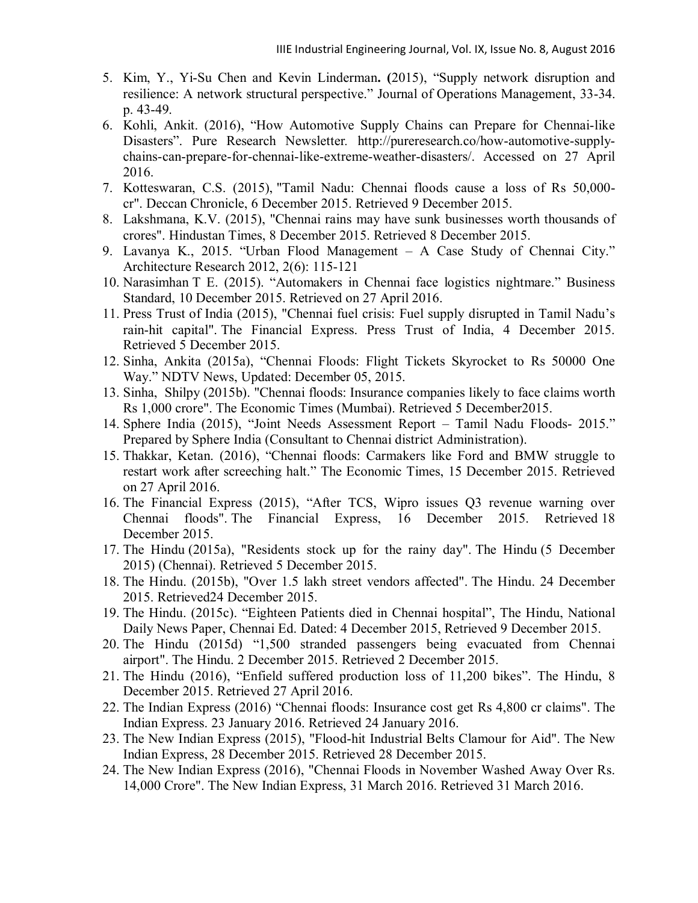- 5. Kim, Y., Yi-Su Chen and Kevin Linderman**. (**2015), "Supply network disruption and resilience: A network structural perspective." Journal of Operations Management, 33-34. p. 43-49.
- 6. Kohli, Ankit. (2016), "How Automotive Supply Chains can Prepare for Chennai-like Disasters". Pure Research Newsletter*.* http://pureresearch.co/how-automotive-supplychains-can-prepare-for-chennai-like-extreme-weather-disasters/. Accessed on 27 April 2016.
- 7. Kotteswaran, C.S. (2015), "Tamil Nadu: Chennai floods cause a loss of Rs 50,000 cr". Deccan Chronicle, 6 December 2015. Retrieved 9 December 2015.
- 8. Lakshmana, K.V. (2015), "Chennai rains may have sunk businesses worth thousands of crores". Hindustan Times, 8 December 2015. Retrieved 8 December 2015.
- 9. Lavanya K., 2015. "Urban Flood Management A Case Study of Chennai City." Architecture Research 2012, 2(6): 115-121
- 10. Narasimhan T E. (2015). "Automakers in Chennai face logistics nightmare." Business Standard, 10 December 2015. Retrieved on 27 April 2016.
- 11. Press Trust of India (2015), "Chennai fuel crisis: Fuel supply disrupted in Tamil Nadu's rain-hit capital". The Financial Express. Press Trust of India, 4 December 2015. Retrieved 5 December 2015.
- 12. Sinha, Ankita (2015a), "Chennai Floods: Flight Tickets Skyrocket to Rs 50000 One Way." NDTV News, Updated: December 05, 2015.
- 13. Sinha, Shilpy (2015b). "Chennai floods: Insurance companies likely to face claims worth Rs 1,000 crore". The Economic Times (Mumbai). Retrieved 5 December2015.
- 14. Sphere India (2015), "Joint Needs Assessment Report Tamil Nadu Floods- 2015." Prepared by Sphere India (Consultant to Chennai district Administration).
- 15. Thakkar, Ketan. (2016), "Chennai floods: Carmakers like Ford and BMW struggle to restart work after screeching halt." The Economic Times, 15 December 2015. Retrieved on 27 April 2016.
- 16. The Financial Express (2015), "After TCS, Wipro issues Q3 revenue warning over Chennai floods". The Financial Express, 16 December 2015. Retrieved 18 December 2015.
- 17. The Hindu (2015a), "Residents stock up for the rainy day". The Hindu (5 December 2015) (Chennai). Retrieved 5 December 2015.
- 18. The Hindu. (2015b), "Over 1.5 lakh street vendors affected". The Hindu. 24 December 2015. Retrieved24 December 2015.
- 19. The Hindu. (2015c). "Eighteen Patients died in Chennai hospital", The Hindu, National Daily News Paper, Chennai Ed. Dated: 4 December 2015, Retrieved 9 December 2015.
- 20. The Hindu (2015d) "1,500 stranded passengers being evacuated from Chennai airport". The Hindu. 2 December 2015. Retrieved 2 December 2015.
- 21. The Hindu (2016), "Enfield suffered production loss of 11,200 bikes". The Hindu, 8 December 2015. Retrieved 27 April 2016.
- 22. The Indian Express (2016) "Chennai floods: Insurance cost get Rs 4,800 cr claims". The Indian Express. 23 January 2016. Retrieved 24 January 2016.
- 23. The New Indian Express (2015), "Flood-hit Industrial Belts Clamour for Aid". The New Indian Express, 28 December 2015. Retrieved 28 December 2015.
- 24. The New Indian Express (2016), "Chennai Floods in November Washed Away Over Rs. 14,000 Crore". The New Indian Express, 31 March 2016. Retrieved 31 March 2016.